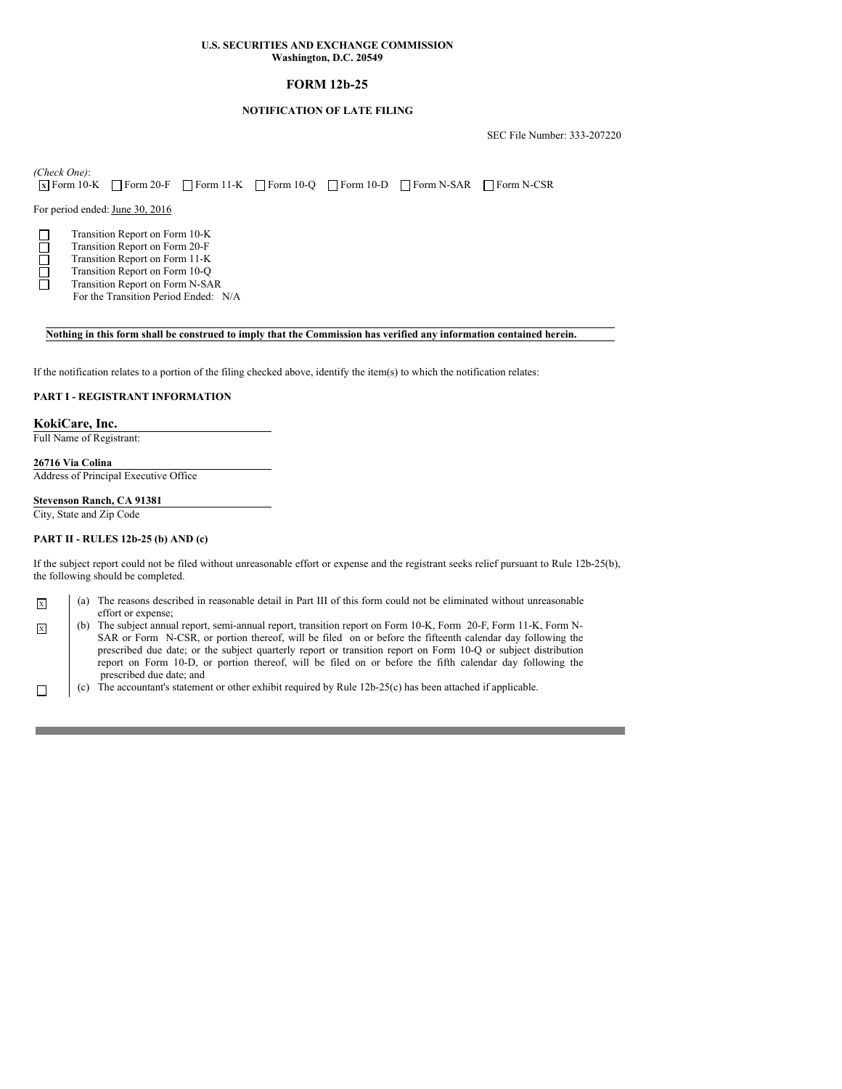# **FORM 12b-25**

## **NOTIFICATION OF LATE FILING**

SEC File Number: 333-207220

*(Check One)*: **X** Form 10-K **Form 20-F Form 11-K Form 10-Q Form 10-D Form N-SAR FORM N-CSR** 

For period ended: June 30, 2016

Transition Report on Form 10-K

- Transition Report on Form 20-F
- Transition Report on Form 11-K Transition Report on Form 10-Q
	- Transition Report on Form N-SAR
		- For the Transition Period Ended: N/A

#### Nothing in this form shall be construed to imply that the Commission has verified any information contained herein.

If the notification relates to a portion of the filing checked above, identify the item(s) to which the notification relates:

## **PART I - REGISTRANT INFORMATION**

## **KokiCare, Inc.**

Full Name of Registrant:

# **26716 Via Colina**

Address of Principal Executive Office

**Stevenson Ranch, CA 91381** City, State and Zip Code

#### **PART II - RULES 12b-25 (b) AND (c)**

If the subject report could not be filed without unreasonable effort or expense and the registrant seeks relief pursuant to Rule 12b-25(b), the following should be completed.

|  | (a) The reasons described in reasonable detail in Part III of this form could not be eliminated without unreasonable |
|--|----------------------------------------------------------------------------------------------------------------------|
|  | effort or expense:                                                                                                   |

- $\overline{x}$  (b) The subject annual report, semi-annual report, transition report on Form 10-K, Form 20-F, Form 11-K, Form N-SAR or Form N-CSR, or portion thereof, will be filed on or before the fifteenth calendar day following the prescribed due date; or the subject quarterly report or transition report on Form 10-Q or subject distribution report on Form 10-D, or portion thereof, will be filed on or before the fifth calendar day following the prescribed due date; and
- $\Box$  (c) The accountant's statement or other exhibit required by Rule 12b-25(c) has been attached if applicable.